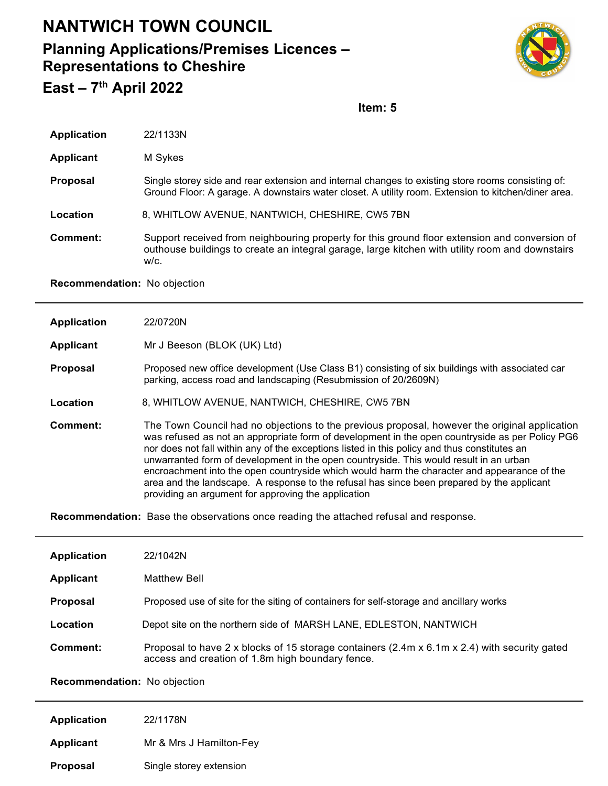## **NANTWICH TOWN COUNCIL Planning Applications/Premises Licences – Representations to Cheshire East – 7th April 2022**



**Item: 5**

| <b>Application</b> | 22/1133N                                                                                                                                                                                                 |  |
|--------------------|----------------------------------------------------------------------------------------------------------------------------------------------------------------------------------------------------------|--|
| <b>Applicant</b>   | M Sykes                                                                                                                                                                                                  |  |
| <b>Proposal</b>    | Single storey side and rear extension and internal changes to existing store rooms consisting of:<br>Ground Floor: A garage. A downstairs water closet. A utility room. Extension to kitchen/diner area. |  |
| Location           | 8, WHITLOW AVENUE, NANTWICH, CHESHIRE, CW5 7BN                                                                                                                                                           |  |
| Comment:           | Support received from neighbouring property for this ground floor extension and conversion of<br>outhouse buildings to create an integral garage, large kitchen with utility room and downstairs<br>W/C. |  |
|                    |                                                                                                                                                                                                          |  |

**Recommendation:** No objection

| <b>Application</b> | 22/0720N                                                                                                                                                                                                                                                                                                                                                                                                                                                                                                                                                                                                                                       |
|--------------------|------------------------------------------------------------------------------------------------------------------------------------------------------------------------------------------------------------------------------------------------------------------------------------------------------------------------------------------------------------------------------------------------------------------------------------------------------------------------------------------------------------------------------------------------------------------------------------------------------------------------------------------------|
| Applicant          | Mr J Beeson (BLOK (UK) Ltd)                                                                                                                                                                                                                                                                                                                                                                                                                                                                                                                                                                                                                    |
| <b>Proposal</b>    | Proposed new office development (Use Class B1) consisting of six buildings with associated car<br>parking, access road and landscaping (Resubmission of 20/2609N)                                                                                                                                                                                                                                                                                                                                                                                                                                                                              |
| Location           | 8, WHITLOW AVENUE, NANTWICH, CHESHIRE, CW5 7BN                                                                                                                                                                                                                                                                                                                                                                                                                                                                                                                                                                                                 |
| Comment:           | The Town Council had no objections to the previous proposal, however the original application<br>was refused as not an appropriate form of development in the open countryside as per Policy PG6<br>nor does not fall within any of the exceptions listed in this policy and thus constitutes an<br>unwarranted form of development in the open countryside. This would result in an urban<br>encroachment into the open countryside which would harm the character and appearance of the<br>area and the landscape. A response to the refusal has since been prepared by the applicant<br>providing an argument for approving the application |
|                    | <b>Recommendation:</b> Base the observations once reading the attached refusal and response.                                                                                                                                                                                                                                                                                                                                                                                                                                                                                                                                                   |

| <b>Application</b> | 22/1042N                                                                                                                                         |  |
|--------------------|--------------------------------------------------------------------------------------------------------------------------------------------------|--|
| Applicant          | <b>Matthew Bell</b>                                                                                                                              |  |
| Proposal           | Proposed use of site for the siting of containers for self-storage and ancillary works                                                           |  |
| Location           | Depot site on the northern side of MARSH LANE, EDLESTON, NANTWICH                                                                                |  |
| Comment:           | Proposal to have 2 x blocks of 15 storage containers (2.4m x 6.1m x 2.4) with security gated<br>access and creation of 1.8m high boundary fence. |  |

**Recommendation:** No objection

| <b>Application</b> | 22/1178N                |
|--------------------|-------------------------|
| <b>Applicant</b>   | Mr & Mrs J Hamilton-Fey |
| <b>Proposal</b>    | Single storey extension |